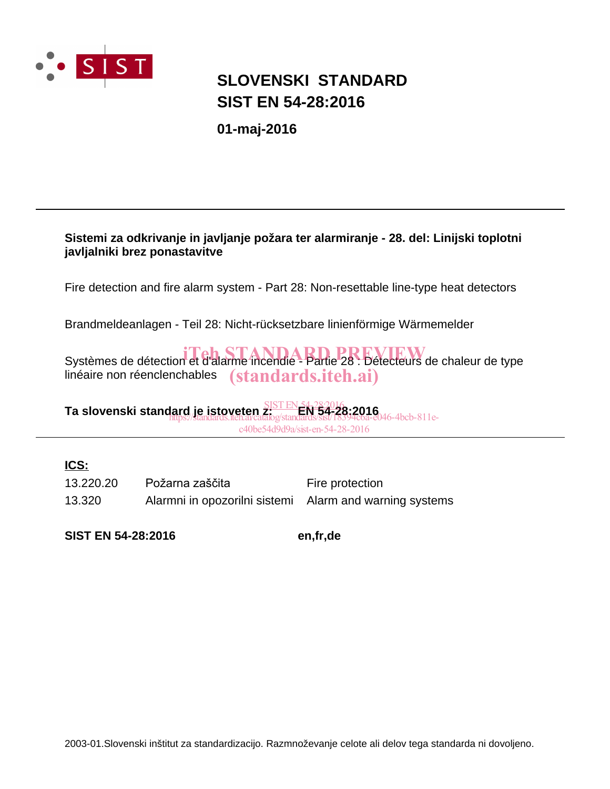

## **SIST EN 54-28:2016 SLOVENSKI STANDARD**

**01-maj-2016**

#### **Sistemi za odkrivanje in javljanje požara ter alarmiranje - 28. del: Linijski toplotni javljalniki brez ponastavitve**

Fire detection and fire alarm system - Part 28: Non-resettable line-type heat detectors

Brandmeldeanlagen - Teil 28: Nicht-rücksetzbare linienförmige Wärmemelder

Systèmes de détection et d'alarme incendie - Partie 28 : Détecteurs de chaleur de type linéaire non réenclenchables (standards.iteh.ai)

**Ta slovenski standard je istoveten z: EN 54-28:2016** SIST EN 54-28:2016 https://standards.iteh.ai/catalog/standards/sist/18394c6a-e046-4bcb-811ec40be54d9d9a/sist-en-54-28-2016

### **ICS:**

13.320 Alarmni in opozorilni sistemi Alarm and warning systems 13.220.20 Požarna zaščita<br>
Fire protection

**SIST EN 54-28:2016 en,fr,de**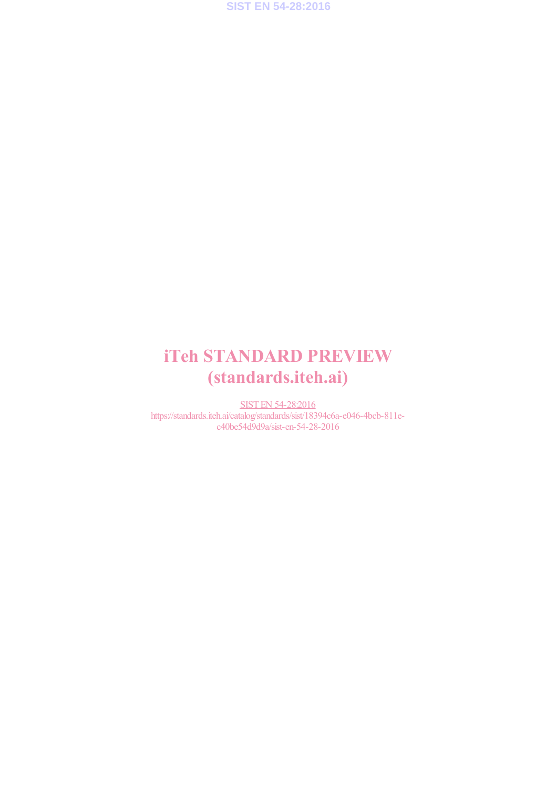**SIST EN 54-28:2016**

## iTeh STANDARD PREVIEW (standards.iteh.ai)

SIST EN 54-28:2016 https://standards.iteh.ai/catalog/standards/sist/18394c6a-e046-4bcb-811ec40be54d9d9a/sist-en-54-28-2016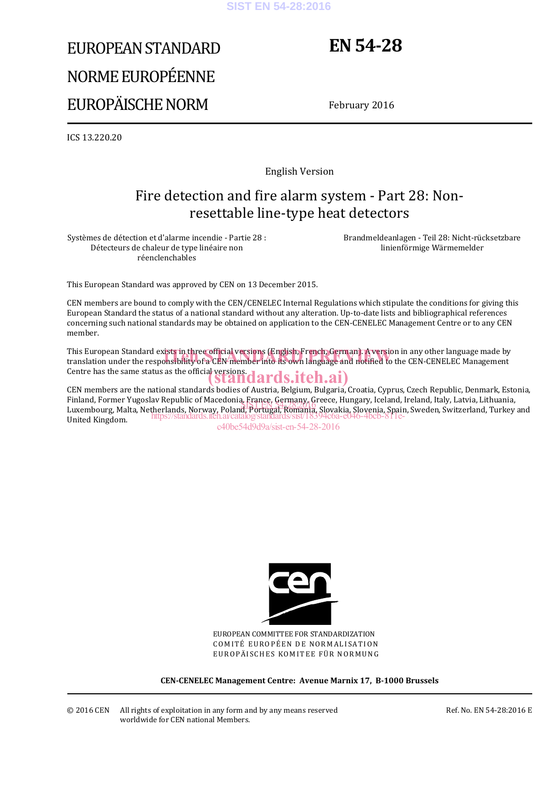#### **SIST EN 54-28:2016**

# EUROPEAN STANDARD NORME EUROPÉENNE EUROPÄISCHE NORM

## **EN 54-28**

February 2016

ICS 13.220.20

English Version

### Fire detection and fire alarm system - Part 28: Nonresettable line-type heat detectors

Systèmes de détection et d'alarme incendie - Partie 28 : Détecteurs de chaleur de type linéaire non réenclenchables

Brandmeldeanlagen - Teil 28: Nicht-rücksetzbare linienförmige Wärmemelder

This European Standard was approved by CEN on 13 December 2015.

CEN members are bound to comply with the CEN/CENELEC Internal Regulations which stipulate the conditions for giving this European Standard the status of a national standard without any alteration. Up-to-date lists and bibliographical references concerning such national standards may be obtained on application to the CEN-CENELEC Management Centre or to any CEN member.

This European Standard exists in three official versions (English, French, German). A version in any other language made by This European Standard exists in three official versions (English, French, German). A version in any other language made by<br>translation under the responsibility of a CEN member into its own language and notified to the CEN Centre has the same status as the official versions.<br>
Standards.iteh.ai)

#### CEN members are the national standards bodies of Austria, Belgium, Bulgaria, Croatia, Cyprus, Czech Republic, Denmark, Estonia, Finland, Former Yugoslav Republic of Macedonia, France, Germany, Greece, Hungary, Iceland, Ireland, Italy, Latvia, Lithuania, rinianu, roriner Tugosiav Republic of Macedonia, France, Germany, Greece, Hungary, Iceland, Heland, Italy, Latvia, Lithuania,<br>Luxembourg, Malta, Netherlands, Norway, Poland, Portugal, Romania, Slovakia, Slovenia, Spain, Sw United Kingdom. https://standards.iteh.ai/catalog/standards/sist/18394c6a-e046-4bcb-811e-

c40be54d9d9a/sist-en-54-28-2016



EUROPEAN COMMITTEE FOR STANDARDIZATION COMITÉ EUROPÉEN DE NORMALISATION EUROPÄISCHES KOMITEE FÜR NORMUNG

**CEN-CENELEC Management Centre: Avenue Marnix 17, B-1000 Brussels** 

Ref. No. EN 54-28:2016 E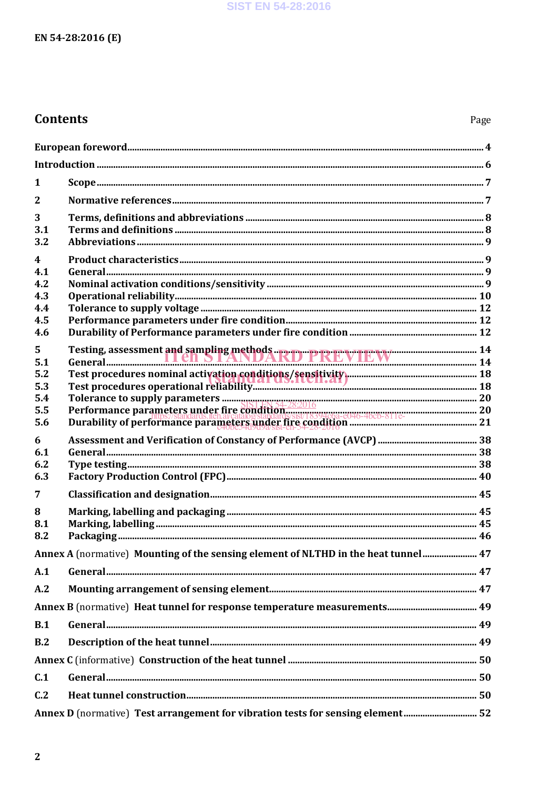## **Contents**

| 1                                                                                  |                                                                                 |  |
|------------------------------------------------------------------------------------|---------------------------------------------------------------------------------|--|
| $\overline{2}$                                                                     |                                                                                 |  |
| 3<br>3.1<br>3.2                                                                    |                                                                                 |  |
| $\overline{\mathbf{4}}$<br>4.1<br>4.2<br>4.3<br>4.4<br>4.5                         |                                                                                 |  |
| 4.6                                                                                |                                                                                 |  |
| $5^{\circ}$<br>5.1<br>5.2<br>5.3<br>5.4                                            |                                                                                 |  |
| 5.5<br>5.6                                                                         |                                                                                 |  |
| 6<br>6.1<br>6.2<br>6.3                                                             |                                                                                 |  |
| 7                                                                                  |                                                                                 |  |
| 8<br>8.1<br>8.2                                                                    |                                                                                 |  |
| Annex A (normative) Mounting of the sensing element of NLTHD in the heat tunnel 47 |                                                                                 |  |
| A.1                                                                                |                                                                                 |  |
| A.2                                                                                |                                                                                 |  |
|                                                                                    |                                                                                 |  |
| B.1                                                                                |                                                                                 |  |
| B.2                                                                                |                                                                                 |  |
|                                                                                    |                                                                                 |  |
| C.1                                                                                |                                                                                 |  |
| C.2                                                                                |                                                                                 |  |
|                                                                                    | Annex D (normative) Test arrangement for vibration tests for sensing element 52 |  |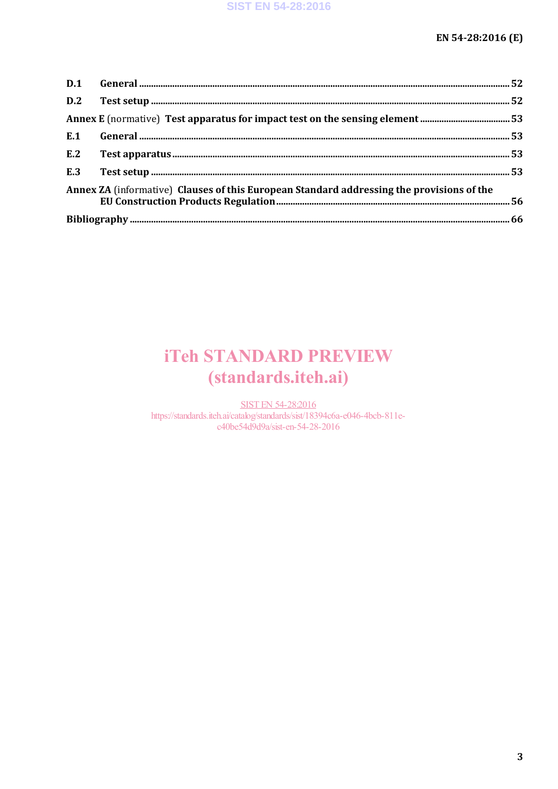| E.1 |                                                                                           |  |
|-----|-------------------------------------------------------------------------------------------|--|
| E.2 |                                                                                           |  |
| E.3 |                                                                                           |  |
|     | Annex ZA (informative) Clauses of this European Standard addressing the provisions of the |  |
|     |                                                                                           |  |
|     |                                                                                           |  |

## **iTeh STANDARD PREVIEW** (standards.iteh.ai)

**SIST EN 54-28:2016** https://standards.iteh.ai/catalog/standards/sist/18394c6a-e046-4bcb-811ec40be54d9d9a/sist-en-54-28-2016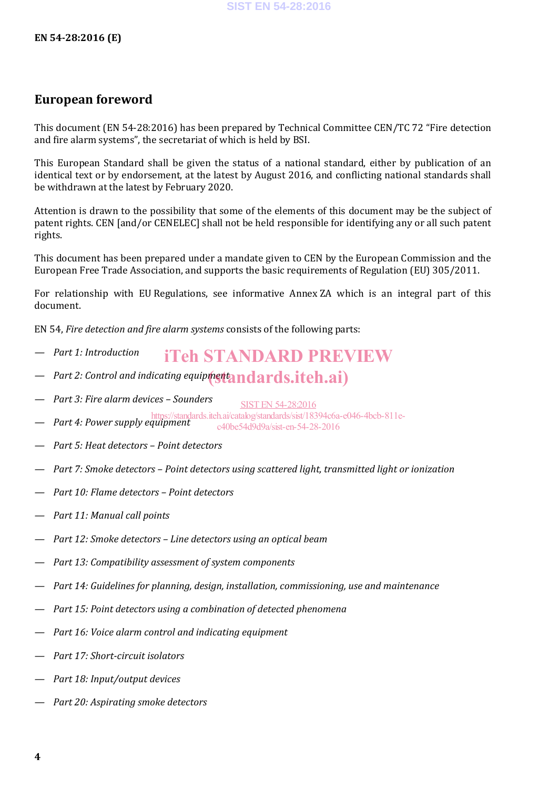### **European foreword**

This document (EN 54-28:2016) has been prepared by Technical Committee CEN/TC 72 "Fire detection and fire alarm systems", the secretariat of which is held by BSI.

This European Standard shall be given the status of a national standard, either by publication of an identical text or by endorsement, at the latest by August 2016, and conflicting national standards shall be withdrawn at the latest by February 2020.

Attention is drawn to the possibility that some of the elements of this document may be the subject of patent rights. CEN [and/or CENELEC] shall not be held responsible for identifying any or all such patent rights.

This document has been prepared under a mandate given to CEN by the European Commission and the European Free Trade Association, and supports the basic requirements of Regulation (EU) 305/2011.

For relationship with EU Regulations, see informative Annex ZA which is an integral part of this document.

EN 54, *Fire detection and fire alarm systems* consists of the following parts:

- *— Part 1: Introduction* iTeh STANDARD PREVIEW
- $-$  *Part 2: Control and indicating equipment* and ards.itch.ai)
- *— Part 3: Fire alarm devices – Sounders* SIST EN 54-28:2016
- *— Part 4: Power supply equipment* https://standards.iteh.ai/catalog/standards/sist/18394c6a-e046-4bcb-811e-
- c40be54d9d9a/sist-en-54-28-2016
- *— Part 5: Heat detectors – Point detectors*
- *— Part 7: Smoke detectors – Point detectors using scattered light, transmitted light or ionization*
- *— Part 10: Flame detectors – Point detectors*
- *— Part 11: Manual call points*
- *— Part 12: Smoke detectors – Line detectors using an optical beam*
- *— Part 13: Compatibility assessment of system components*
- *— Part 14: Guidelines for planning, design, installation, commissioning, use and maintenance*
- *— Part 15: Point detectors using a combination of detected phenomena*
- *— Part 16: Voice alarm control and indicating equipment*
- *— Part 17: Short-circuit isolators*
- *— Part 18: Input/output devices*
- *— Part 20: Aspirating smoke detectors*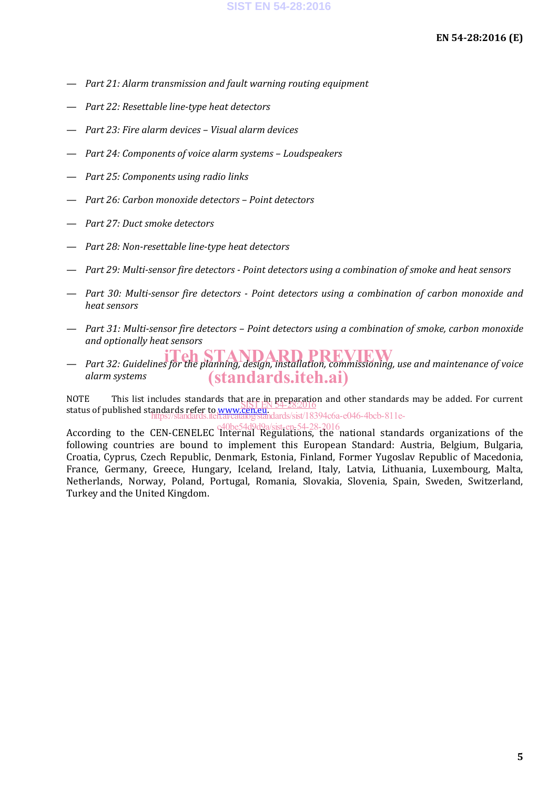- *— Part 21: Alarm transmission and fault warning routing equipment*
- *— Part 22: Resettable line-type heat detectors*
- *— Part 23: Fire alarm devices – Visual alarm devices*
- *— Part 24: Components of voice alarm systems – Loudspeakers*
- *— Part 25: Components using radio links*
- *— Part 26: Carbon monoxide detectors – Point detectors*
- *— Part 27: Duct smoke detectors*
- *— Part 28: Non-resettable line-type heat detectors*
- *— Part 29: Multi-sensor fire detectors - Point detectors using a combination of smoke and heat sensors*
- *— Part 30: Multi-sensor fire detectors - Point detectors using a combination of carbon monoxide and heat sensors*
- *— Part 31: Multi-sensor fire detectors – Point detectors using a combination of smoke, carbon monoxide and optionally heat sensors*
- *i*Teh STANDARD PREVIEW was and maintenance of voice *alarm systems* (standards.iteh.ai)

NOTE This list includes standards that are in preparation and other standards may be added. For current status of published standards refer to www.cen.eu.<br>Status of published standards refer to www.cen.eu. https://standards.iteh.ai/catalog/standards/sist/18394c6a-e046-4bcb-811e-

According to the CEN-CENELEC Internal Regulations, the national standards organizations of the following countries are bound to implement this European Standard: Austria, Belgium, Bulgaria, Croatia, Cyprus, Czech Republic, Denmark, Estonia, Finland, Former Yugoslav Republic of Macedonia, France, Germany, Greece, Hungary, Iceland, Ireland, Italy, Latvia, Lithuania, Luxembourg, Malta, Netherlands, Norway, Poland, Portugal, Romania, Slovakia, Slovenia, Spain, Sweden, Switzerland, Turkey and the United Kingdom. c40be54d9d9a/sist-en-54-28-2016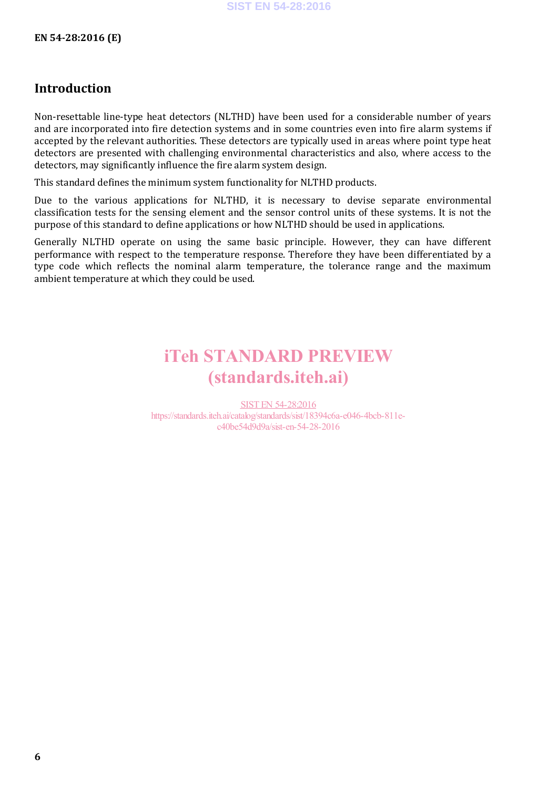### **Introduction**

Non-resettable line-type heat detectors (NLTHD) have been used for a considerable number of years and are incorporated into fire detection systems and in some countries even into fire alarm systems if accepted by the relevant authorities. These detectors are typically used in areas where point type heat detectors are presented with challenging environmental characteristics and also, where access to the detectors, may significantly influence the fire alarm system design.

This standard defines the minimum system functionality for NLTHD products.

Due to the various applications for NLTHD, it is necessary to devise separate environmental classification tests for the sensing element and the sensor control units of these systems. It is not the purpose of this standard to define applications or how NLTHD should be used in applications.

Generally NLTHD operate on using the same basic principle. However, they can have different performance with respect to the temperature response. Therefore they have been differentiated by a type code which reflects the nominal alarm temperature, the tolerance range and the maximum ambient temperature at which they could be used.

## iTeh STANDARD PREVIEW (standards.iteh.ai)

SIST EN 54-28:2016 https://standards.iteh.ai/catalog/standards/sist/18394c6a-e046-4bcb-811ec40be54d9d9a/sist-en-54-28-2016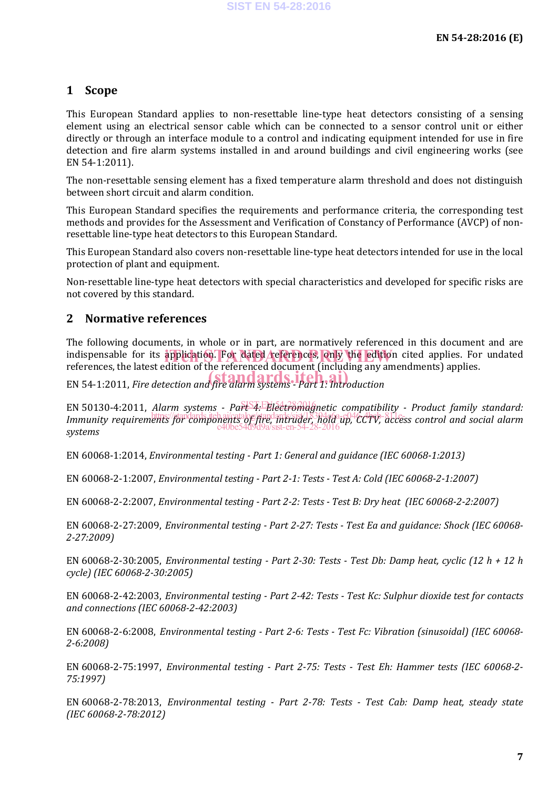#### **1 Scope**

This European Standard applies to non-resettable line-type heat detectors consisting of a sensing element using an electrical sensor cable which can be connected to a sensor control unit or either directly or through an interface module to a control and indicating equipment intended for use in fire detection and fire alarm systems installed in and around buildings and civil engineering works (see EN 54-1:2011).

The non-resettable sensing element has a fixed temperature alarm threshold and does not distinguish between short circuit and alarm condition.

This European Standard specifies the requirements and performance criteria, the corresponding test methods and provides for the Assessment and Verification of Constancy of Performance (AVCP) of nonresettable line-type heat detectors to this European Standard.

This European Standard also covers non-resettable line-type heat detectors intended for use in the local protection of plant and equipment.

Non-resettable line-type heat detectors with special characteristics and developed for specific risks are not covered by this standard.

#### **2 Normative references**

The following documents, in whole or in part, are normatively referenced in this document and are indispensable for its application. For dated references, only the edition cited applies. For undated references the latest edition of the referenced document (including any amondments) applies. references, the latest edition of the referenced document (including any amendments) applies.

references, the latest edition of the referenced document (including any and standards.items) and standards. **Example** 

 $EN 50130-4:2011$ , *Alarm systems - Part 4: Electromagnetic compatibility - Product family standard:* Immunity requirements for components of fire, intruder, hold up, CCTV, access control and social alarm *systems* c40be54d9d9a/sist-en-54-28-2016

EN 60068-1:2014, *Environmental testing - Part 1: General and guidance (IEC 60068-1:2013)*

EN 60068-2-1:2007, *Environmental testing - Part 2-1: Tests - Test A: Cold (IEC 60068-2-1:2007)*

EN 60068-2-2:2007, *Environmental testing - Part 2-2: Tests - Test B: Dry heat (IEC 60068-2-2:2007)*

EN 60068-2-27:2009, *Environmental testing - Part 2-27: Tests - Test Ea and guidance: Shock (IEC 60068- 2-27:2009)*

EN 60068-2-30:2005, *Environmental testing - Part 2-30: Tests - Test Db: Damp heat, cyclic (12 h + 12 h cycle) (IEC 60068-2-30:2005)*

EN 60068-2-42:2003, *Environmental testing - Part 2-42: Tests - Test Kc: Sulphur dioxide test for contacts and connections (IEC 60068-2-42:2003)*

EN 60068-2-6:2008, *Environmental testing - Part 2-6: Tests - Test Fc: Vibration (sinusoidal) (IEC 60068- 2-6:2008)*

EN 60068-2-75:1997, *Environmental testing - Part 2-75: Tests - Test Eh: Hammer tests (IEC 60068-2- 75:1997)*

EN 60068-2-78:2013, *Environmental testing - Part 2-78: Tests - Test Cab: Damp heat, steady state (IEC 60068-2-78:2012)*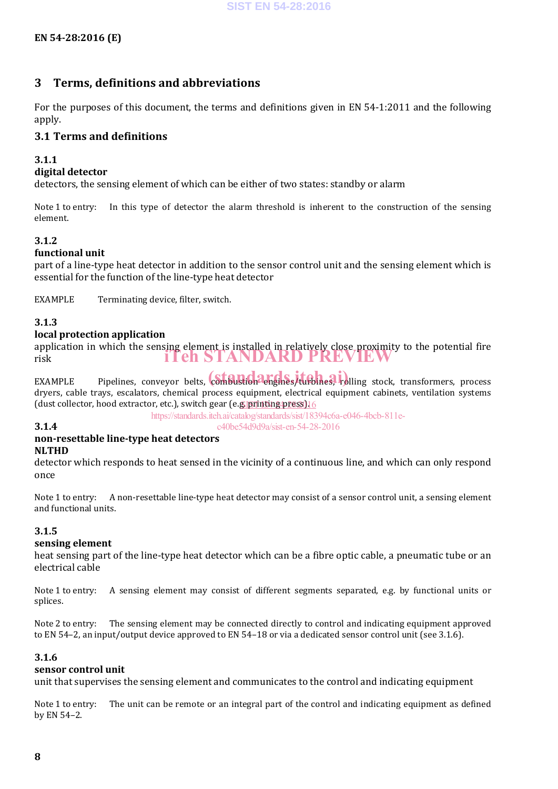### **3 Terms, definitions and abbreviations**

For the purposes of this document, the terms and definitions given in EN 54-1:2011 and the following apply.

#### **3.1 Terms and definitions**

#### **3.1.1**

#### **digital detector**

detectors, the sensing element of which can be either of two states: standby or alarm

Note 1 to entry: In this type of detector the alarm threshold is inherent to the construction of the sensing element.

#### **3.1.2**

#### **functional unit**

part of a line-type heat detector in addition to the sensor control unit and the sensing element which is essential for the function of the line-type heat detector

EXAMPLE Terminating device, filter, switch.

#### **3.1.3**

**3.1.4**

#### **local protection application**

application in which the sensing element is installed in relatively close proximity to the potential fire risk iTeh STANDARD PREVIEW

EXAMPLE Pipelines, conveyor belts, combustion angles, turbines, rolling stock, transformers, process dryers, cable trays, escalators, chemical process equipment, electrical equipment cabinets, ventilation systems (dust collector, hood extractor, etc.), switch gear (e.g. printing press) 16

https://standards.iteh.ai/catalog/standards/sist/18394c6a-e046-4bcb-811e-

c40be54d9d9a/sist-en-54-28-2016

#### **non-resettable line-type heat detectors NLTHD**

detector which responds to heat sensed in the vicinity of a continuous line, and which can only respond once

Note 1 to entry: A non-resettable line-type heat detector may consist of a sensor control unit, a sensing element and functional units.

#### **3.1.5**

#### **sensing element**

heat sensing part of the line-type heat detector which can be a fibre optic cable, a pneumatic tube or an electrical cable

Note 1 to entry: A sensing element may consist of different segments separated, e.g. by functional units or splices.

Note 2 to entry: The sensing element may be connected directly to control and indicating equipment approved to EN 54–2, an input/output device approved to EN 54–18 or via a dedicated sensor control unit (see 3.1.6).

#### **3.1.6**

#### **sensor control unit**

unit that supervises the sensing element and communicates to the control and indicating equipment

Note 1 to entry: The unit can be remote or an integral part of the control and indicating equipment as defined by EN 54–2.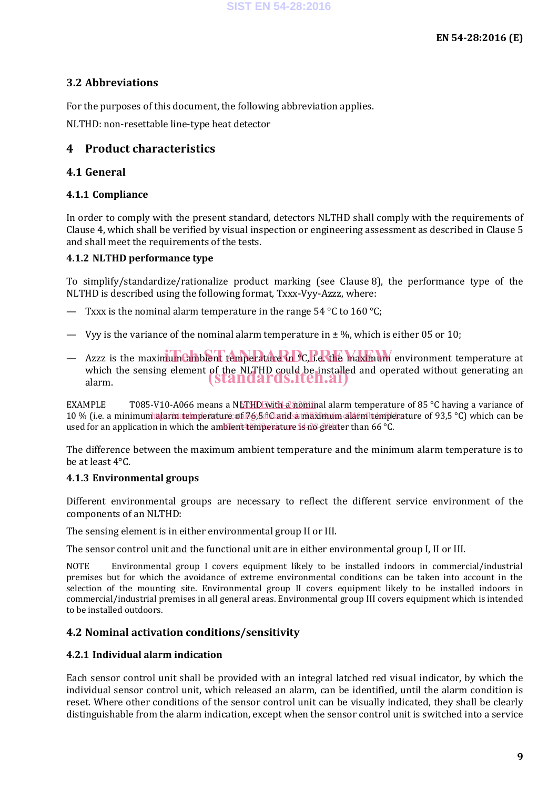#### **3.2 Abbreviations**

For the purposes of this document, the following abbreviation applies.

NLTHD: non-resettable line-type heat detector

#### **4 Product characteristics**

#### **4.1 General**

#### **4.1.1 Compliance**

In order to comply with the present standard, detectors NLTHD shall comply with the requirements of Clause 4, which shall be verified by visual inspection or engineering assessment as described in Clause 5 and shall meet the requirements of the tests.

#### **4.1.2 NLTHD performance type**

To simplify/standardize/rationalize product marking (see Clause 8), the performance type of the NLTHD is described using the following format, Txxx-Vyy-Azzz, where:

- Txxx is the nominal alarm temperature in the range  $54^{\circ}$ C to  $160^{\circ}$ C;
- Vyy is the variance of the nominal alarm temperature in  $\pm \%$ , which is either 05 or 10;
- Azzz is the maximum ambient temperature in CC, i.e. the maximum environment temperature at which the sensing element of the NLTHD could be installed and operated without generating an alarm. (standards.iteh.ai)

EXAMPLE T085-V10-A066 means a NETHDE with a nominal alarm temperature of 85 °C having a variance of 10 % (i.e. a minimum talar mate mperature of 176,5 al Cands at maximum alarm temperature of 93,5 °C) which can be used for an application in which the ambient temperature is no greater than 66 °C.

The difference between the maximum ambient temperature and the minimum alarm temperature is to be at least 4°C.

#### **4.1.3 Environmental groups**

Different environmental groups are necessary to reflect the different service environment of the components of an NLTHD:

The sensing element is in either environmental group II or III.

The sensor control unit and the functional unit are in either environmental group I, II or III.

NOTE Environmental group I covers equipment likely to be installed indoors in commercial/industrial premises but for which the avoidance of extreme environmental conditions can be taken into account in the selection of the mounting site. Environmental group II covers equipment likely to be installed indoors in commercial/industrial premises in all general areas. Environmental group III covers equipment which is intended to be installed outdoors.

#### **4.2 Nominal activation conditions/sensitivity**

#### **4.2.1 Individual alarm indication**

Each sensor control unit shall be provided with an integral latched red visual indicator, by which the individual sensor control unit, which released an alarm, can be identified, until the alarm condition is reset. Where other conditions of the sensor control unit can be visually indicated, they shall be clearly distinguishable from the alarm indication, except when the sensor control unit is switched into a service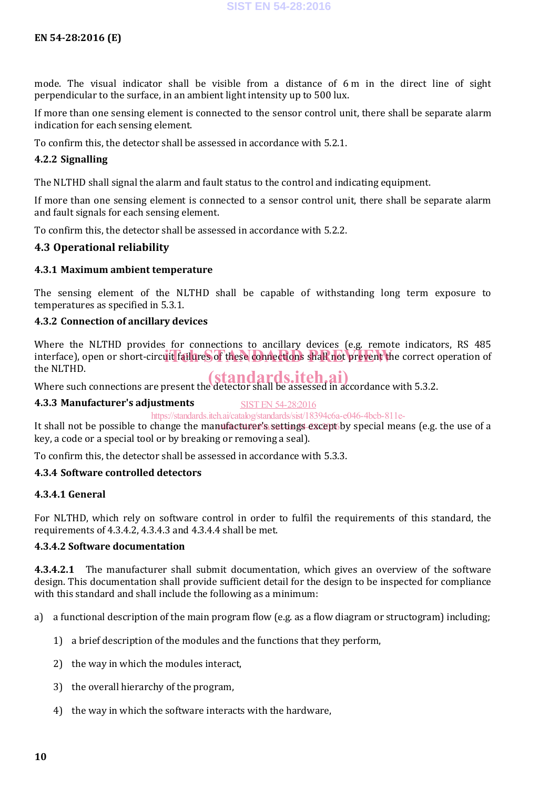mode. The visual indicator shall be visible from a distance of 6 m in the direct line of sight perpendicular to the surface, in an ambient light intensity up to 500 lux.

If more than one sensing element is connected to the sensor control unit, there shall be separate alarm indication for each sensing element.

To confirm this, the detector shall be assessed in accordance with 5.2.1.

#### **4.2.2 Signalling**

The NLTHD shall signal the alarm and fault status to the control and indicating equipment.

If more than one sensing element is connected to a sensor control unit, there shall be separate alarm and fault signals for each sensing element.

To confirm this, the detector shall be assessed in accordance with 5.2.2.

#### **4.3 Operational reliability**

#### **4.3.1 Maximum ambient temperature**

The sensing element of the NLTHD shall be capable of withstanding long term exposure to temperatures as specified in 5.3.1.

#### **4.3.2 Connection of ancillary devices**

Where the NLTHD provides for connections to ancillary devices (e.g. remote indicators, RS 485 interface), open or short-circuit failures of these connections shall not prevent the correct operation of the NLTHD. (standards.iteh.ai)

Where such connections are present the detector shall be assessed in accordance with 5.3.2.

#### **4.3.3 Manufacturer's adjustments**

SIST EN 54-28:2016

https://standards.iteh.ai/catalog/standards/sist/18394c6a-e046-4bcb-811e-

It shall not be possible to change the manufacturer's settings except by special means (e.g. the use of a key, a code or a special tool or by breaking or removing a seal).

To confirm this, the detector shall be assessed in accordance with 5.3.3.

#### **4.3.4 Software controlled detectors**

#### **4.3.4.1 General**

For NLTHD, which rely on software control in order to fulfil the requirements of this standard, the requirements of 4.3.4.2, 4.3.4.3 and 4.3.4.4 shall be met.

#### **4.3.4.2 Software documentation**

**4.3.4.2.1** The manufacturer shall submit documentation, which gives an overview of the software design. This documentation shall provide sufficient detail for the design to be inspected for compliance with this standard and shall include the following as a minimum:

a) a functional description of the main program flow (e.g. as a flow diagram or structogram) including;

- 1) a brief description of the modules and the functions that they perform,
- 2) the way in which the modules interact,
- 3) the overall hierarchy of the program,
- 4) the way in which the software interacts with the hardware,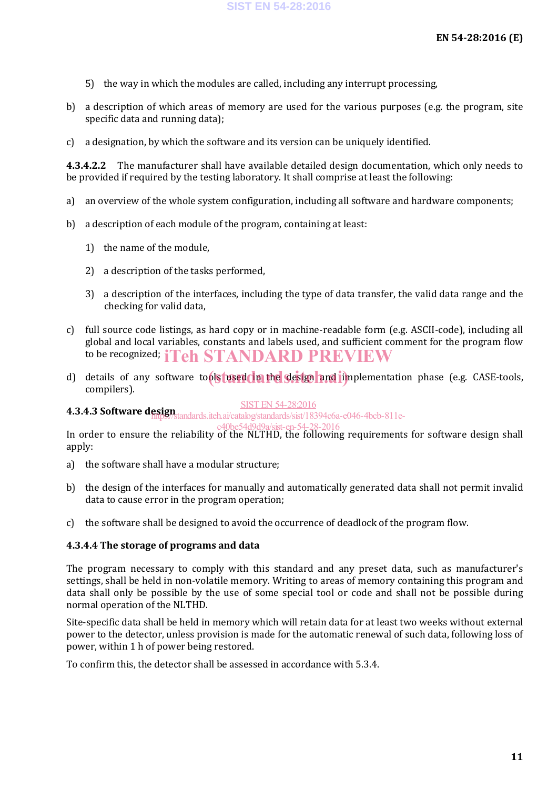- 5) the way in which the modules are called, including any interrupt processing,
- b) a description of which areas of memory are used for the various purposes (e.g. the program, site specific data and running data);
- c) a designation, by which the software and its version can be uniquely identified.

**4.3.4.2.2** The manufacturer shall have available detailed design documentation, which only needs to be provided if required by the testing laboratory. It shall comprise at least the following:

- a) an overview of the whole system configuration, including all software and hardware components;
- b) a description of each module of the program, containing at least:
	- 1) the name of the module,
	- 2) a description of the tasks performed,
	- 3) a description of the interfaces, including the type of data transfer, the valid data range and the checking for valid data,
- c) full source code listings, as hard copy or in machine-readable form (e.g. ASCII-code), including all global and local variables, constants and labels used, and sufficient comment for the program flow to be recognized; iTeh STANDARD PREVIEW
- d) details of any software tools used in the design and implementation phase (e.g. CASE-tools, compilers).

#### SIST EN 54-28:2016

**4.3.4.3 Software design**<br>
https://standards.iteh.ai/catalog/standards/sist/18394c6a-e046-4bcb-811e-

In order to ensure the reliability of the NLTHD, the following requirements for software design shall apply: c40be54d9d9a/sist-en-54-28-2016

- a) the software shall have a modular structure;
- b) the design of the interfaces for manually and automatically generated data shall not permit invalid data to cause error in the program operation;
- c) the software shall be designed to avoid the occurrence of deadlock of the program flow.

#### **4.3.4.4 The storage of programs and data**

The program necessary to comply with this standard and any preset data, such as manufacturer's settings, shall be held in non-volatile memory. Writing to areas of memory containing this program and data shall only be possible by the use of some special tool or code and shall not be possible during normal operation of the NLTHD.

Site-specific data shall be held in memory which will retain data for at least two weeks without external power to the detector, unless provision is made for the automatic renewal of such data, following loss of power, within 1 h of power being restored.

To confirm this, the detector shall be assessed in accordance with 5.3.4.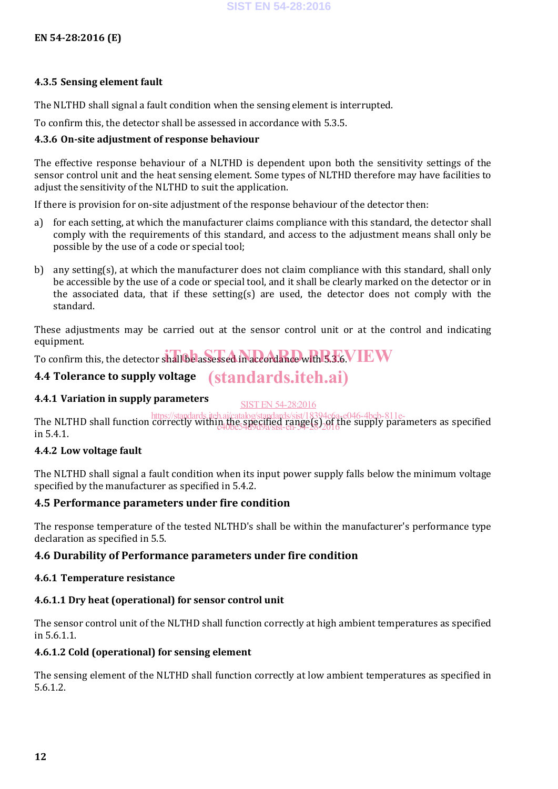#### **4.3.5 Sensing element fault**

The NLTHD shall signal a fault condition when the sensing element is interrupted.

To confirm this, the detector shall be assessed in accordance with 5.3.5.

#### **4.3.6 On-site adjustment of response behaviour**

The effective response behaviour of a NLTHD is dependent upon both the sensitivity settings of the sensor control unit and the heat sensing element. Some types of NLTHD therefore may have facilities to adjust the sensitivity of the NLTHD to suit the application.

If there is provision for on-site adjustment of the response behaviour of the detector then:

- a) for each setting, at which the manufacturer claims compliance with this standard, the detector shall comply with the requirements of this standard, and access to the adjustment means shall only be possible by the use of a code or special tool;
- b) any setting(s), at which the manufacturer does not claim compliance with this standard, shall only be accessible by the use of a code or special tool, and it shall be clearly marked on the detector or in the associated data, that if these setting(s) are used, the detector does not comply with the standard.

These adjustments may be carried out at the sensor control unit or at the control and indicating equipment.

To confirm this, the detector shall be assessed in accordance with 5.3.6 VIEW

#### **4.4 Tolerance to supply voltage** (standards.iteh.ai)

#### **4.4.1 Variation in supply parameters**

SIST EN 54-28:2016

The NLTHD shall function correctly within the specified range(s) of the supply parameters as specified in 5.4.1. https://standards.iteh.ai/catalog/standards/sist/18394c6a-e046-4bcb-811ec40be54d9d9a/sist-en-54-28-2016

#### **4.4.2 Low voltage fault**

The NLTHD shall signal a fault condition when its input power supply falls below the minimum voltage specified by the manufacturer as specified in 5.4.2.

#### **4.5 Performance parameters under fire condition**

The response temperature of the tested NLTHD's shall be within the manufacturer's performance type declaration as specified in 5.5.

#### **4.6 Durability of Performance parameters under fire condition**

#### **4.6.1 Temperature resistance**

#### **4.6.1.1 Dry heat (operational) for sensor control unit**

The sensor control unit of the NLTHD shall function correctly at high ambient temperatures as specified in 5.6.1.1.

#### **4.6.1.2 Cold (operational) for sensing element**

The sensing element of the NLTHD shall function correctly at low ambient temperatures as specified in 5.6.1.2.